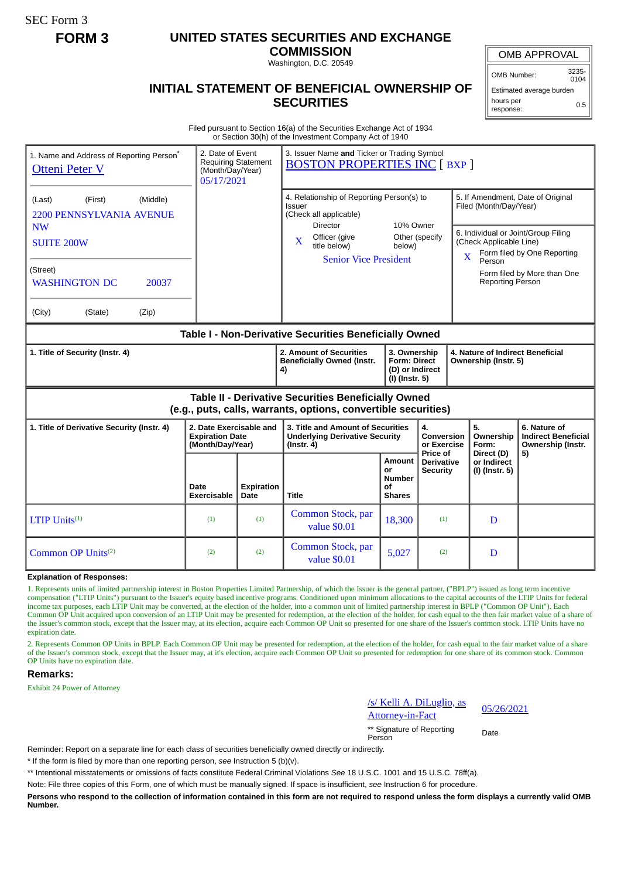SEC Form 3

## **FORM 3 UNITED STATES SECURITIES AND EXCHANGE**

**COMMISSION** Washington, D.C. 20549

OMB APPROVAL

OMB Number: 3235-

**INITIAL STATEMENT OF BENEFICIAL OWNERSHIP OF SECURITIES**

0104 Estimated average burden hours per response: 0.5

Filed pursuant to Section 16(a) of the Securities Exchange Act of 1934 or Section 30(h) of the Investment Company Act of 1940

| 1. Name and Address of Reporting Person*<br><b>Otteni Peter V</b>                                                     |                            | 2. Date of Event<br>3. Issuer Name and Ticker or Trading Symbol<br><b>Requiring Statement</b><br><b>BOSTON PROPERTIES INC [ BXP ]</b><br>(Month/Day/Year)<br>05/17/2021 |                                                                                                         |                                                                          |                                                  |                                                                                                              |                                                                 |
|-----------------------------------------------------------------------------------------------------------------------|----------------------------|-------------------------------------------------------------------------------------------------------------------------------------------------------------------------|---------------------------------------------------------------------------------------------------------|--------------------------------------------------------------------------|--------------------------------------------------|--------------------------------------------------------------------------------------------------------------|-----------------------------------------------------------------|
| (Middle)<br>(First)<br>(Last)<br><b>2200 PENNSYLVANIA AVENUE</b>                                                      |                            |                                                                                                                                                                         | 4. Relationship of Reporting Person(s) to<br><b>Issuer</b><br>(Check all applicable)<br><b>Director</b> |                                                                          |                                                  | 5. If Amendment, Date of Original<br>Filed (Month/Day/Year)                                                  |                                                                 |
| <b>NW</b><br><b>SUITE 200W</b>                                                                                        |                            |                                                                                                                                                                         | Officer (give<br>$\mathbf{X}$<br>title below)<br><b>Senior Vice President</b>                           | 10% Owner<br>Other (specify<br>below)                                    |                                                  | 6. Individual or Joint/Group Filing<br>(Check Applicable Line)<br>Form filed by One Reporting<br>X<br>Person |                                                                 |
| (Street)<br><b>WASHINGTON DC</b><br>20037                                                                             |                            |                                                                                                                                                                         |                                                                                                         |                                                                          |                                                  | <b>Reporting Person</b>                                                                                      | Form filed by More than One                                     |
| (City)<br>(State)<br>(Zip)                                                                                            |                            |                                                                                                                                                                         |                                                                                                         |                                                                          |                                                  |                                                                                                              |                                                                 |
| Table I - Non-Derivative Securities Beneficially Owned                                                                |                            |                                                                                                                                                                         |                                                                                                         |                                                                          |                                                  |                                                                                                              |                                                                 |
| 1. Title of Security (Instr. 4)                                                                                       |                            |                                                                                                                                                                         | 2. Amount of Securities<br><b>Beneficially Owned (Instr.</b><br>4)                                      | 3. Ownership<br><b>Form: Direct</b><br>(D) or Indirect<br>(I) (Instr. 5) |                                                  | 4. Nature of Indirect Beneficial<br>Ownership (Instr. 5)                                                     |                                                                 |
| Table II - Derivative Securities Beneficially Owned<br>(e.g., puts, calls, warrants, options, convertible securities) |                            |                                                                                                                                                                         |                                                                                                         |                                                                          |                                                  |                                                                                                              |                                                                 |
| 2. Date Exercisable and<br>1. Title of Derivative Security (Instr. 4)<br><b>Expiration Date</b><br>(Month/Day/Year)   |                            |                                                                                                                                                                         | 3. Title and Amount of Securities<br><b>Underlying Derivative Security</b><br>$($ Instr. 4 $)$          |                                                                          | 4.<br>Conversion<br>or Exercise                  | 5.<br>Ownership<br>Form:                                                                                     | 6. Nature of<br><b>Indirect Beneficial</b><br>Ownership (Instr. |
|                                                                                                                       | Date<br><b>Exercisable</b> | <b>Expiration</b><br>Date                                                                                                                                               | <b>Title</b>                                                                                            | Amount<br>or<br><b>Number</b><br>Οf<br><b>Shares</b>                     | Price of<br><b>Derivative</b><br><b>Security</b> | Direct (D)<br>or Indirect<br>(I) (Instr. 5)                                                                  | 5)                                                              |
| LTIP $Units^{(1)}$                                                                                                    | (1)                        | (1)                                                                                                                                                                     | Common Stock, par<br>value \$0.01                                                                       | 18,300                                                                   | (1)                                              | D                                                                                                            |                                                                 |
| Common OP Units <sup>(2)</sup>                                                                                        | (2)                        | (2)                                                                                                                                                                     | Common Stock, par<br>value \$0.01                                                                       | 5,027                                                                    | (2)                                              | D                                                                                                            |                                                                 |

**Explanation of Responses:**

1. Represents units of limited partnership interest in Boston Properties Limited Partnership, of which the Issuer is the general partner, ("BPLP") issued as long term incentive compensation ("LTIP Units") pursuant to the Issuer's equity based incentive programs. Conditioned upon minimum allocations to the capital accounts of the LTIP Units for federal income tax purposes, each LTIP Unit may be converted, at the election of the holder, into a common unit of limited partnership interest in BPLP ("Common OP Unit"). Each Common OP Unit acquired upon conversion of an LTIP Unit may be presented for redemption, at the election of the holder, for cash equal to the then fair market value of a share of the Issuer's common stock, except that the Issuer may, at its election, acquire each Common OP Unit so presented for one share of the Issuer's common stock. LTIP Units have no expiration date

2. Represents Common OP Units in BPLP. Each Common OP Unit may be presented for redemption, at the election of the holder, for cash equal to the fair market value of a share of the Issuer's common stock, except that the Issuer may, at it's election, acquire each Common OP Unit so presented for redemption for one share of its common stock. Common OP Units have no expiration date.

## **Remarks:**

Exhibit 24 Power of Attorney

uglio, as  $\frac{757}{201}$  Nem A. DiLugno, as  $\frac{05}{26/2021}$ 

\*\* Signature of Reporting Person Date

Reminder: Report on a separate line for each class of securities beneficially owned directly or indirectly.

\* If the form is filed by more than one reporting person, *see* Instruction 5 (b)(v).

\*\* Intentional misstatements or omissions of facts constitute Federal Criminal Violations *See* 18 U.S.C. 1001 and 15 U.S.C. 78ff(a).

Note: File three copies of this Form, one of which must be manually signed. If space is insufficient, *see* Instruction 6 for procedure.

**Persons who respond to the collection of information contained in this form are not required to respond unless the form displays a currently valid OMB Number.**